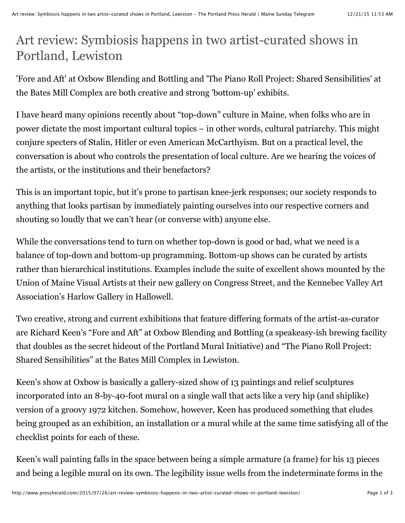## Art review: Symbiosis happens in two artist-curated shows in Portland, Lewiston

'Fore and Aft' at Oxbow Blending and Bottling and 'The Piano Roll Project: Shared Sensibilities' at the Bates Mill Complex are both creative and strong 'bottom-up' exhibits.

I have heard many opinions recently about "top-down" culture in Maine, when folks who are in power dictate the most important cultural topics – in other words, cultural patriarchy. This might conjure specters of Stalin, Hitler or even American McCarthyism. But on a practical level, the conversation is about who controls the presentation of local culture. Are we hearing the voices of the artists, or the institutions and their benefactors?

This is an important topic, but it's prone to partisan knee-jerk responses; our society responds to anything that looks partisan by immediately painting ourselves into our respective corners and shouting so loudly that we can't hear (or converse with) anyone else.

While the conversations tend to turn on whether top-down is good or bad, what we need is a balance of top-down and bottom-up programming. Bottom-up shows can be curated by artists rather than hierarchical institutions. Examples include the suite of excellent shows mounted by the Union of Maine Visual Artists at their new gallery on Congress Street, and the Kennebec Valley Art Association's Harlow Gallery in Hallowell.

Two creative, strong and current exhibitions that feature differing formats of the artist-as-curator are Richard Keen's "Fore and Aft" at Oxbow Blending and Bottling (a speakeasy-ish brewing facility that doubles as the secret hideout of the Portland Mural Initiative) and "The Piano Roll Project: Shared Sensibilities" at the Bates Mill Complex in Lewiston.

Keen's show at Oxbow is basically a gallery-sized show of 13 paintings and relief sculptures incorporated into an 8-by-40-foot mural on a single wall that acts like a very hip (and shiplike) version of a groovy 1972 kitchen. Somehow, however, Keen has produced something that eludes being grouped as an exhibition, an installation or a mural while at the same time satisfying all of the checklist points for each of these.

Keen's wall painting falls in the space between being a simple armature (a frame) for his 13 pieces and being a legible mural on its own. The legibility issue wells from the indeterminate forms in the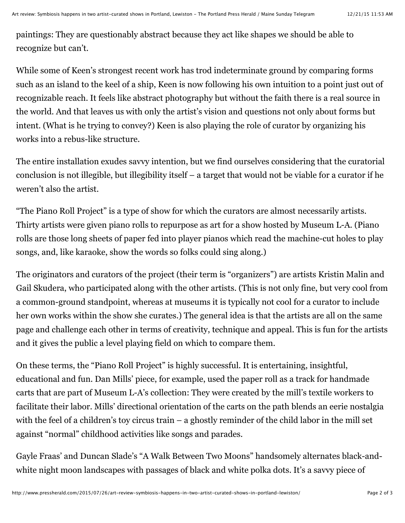paintings: They are questionably abstract because they act like shapes we should be able to recognize but can't.

While some of Keen's strongest recent work has trod indeterminate ground by comparing forms such as an island to the keel of a ship, Keen is now following his own intuition to a point just out of recognizable reach. It feels like abstract photography but without the faith there is a real source in the world. And that leaves us with only the artist's vision and questions not only about forms but intent. (What is he trying to convey?) Keen is also playing the role of curator by organizing his works into a rebus-like structure.

The entire installation exudes savvy intention, but we find ourselves considering that the curatorial conclusion is not illegible, but illegibility itself – a target that would not be viable for a curator if he weren't also the artist.

"The Piano Roll Project" is a type of show for which the curators are almost necessarily artists. Thirty artists were given piano rolls to repurpose as art for a show hosted by Museum L-A. (Piano rolls are those long sheets of paper fed into player pianos which read the machine-cut holes to play songs, and, like karaoke, show the words so folks could sing along.)

The originators and curators of the project (their term is "organizers") are artists Kristin Malin and Gail Skudera, who participated along with the other artists. (This is not only fine, but very cool from a common-ground standpoint, whereas at museums it is typically not cool for a curator to include her own works within the show she curates.) The general idea is that the artists are all on the same page and challenge each other in terms of creativity, technique and appeal. This is fun for the artists and it gives the public a level playing field on which to compare them.

On these terms, the "Piano Roll Project" is highly successful. It is entertaining, insightful, educational and fun. Dan Mills' piece, for example, used the paper roll as a track for handmade carts that are part of Museum L-A's collection: They were created by the mill's textile workers to facilitate their labor. Mills' directional orientation of the carts on the path blends an eerie nostalgia with the feel of a children's toy circus train – a ghostly reminder of the child labor in the mill set against "normal" childhood activities like songs and parades.

Gayle Fraas' and Duncan Slade's "A Walk Between Two Moons" handsomely alternates black-andwhite night moon landscapes with passages of black and white polka dots. It's a savvy piece of